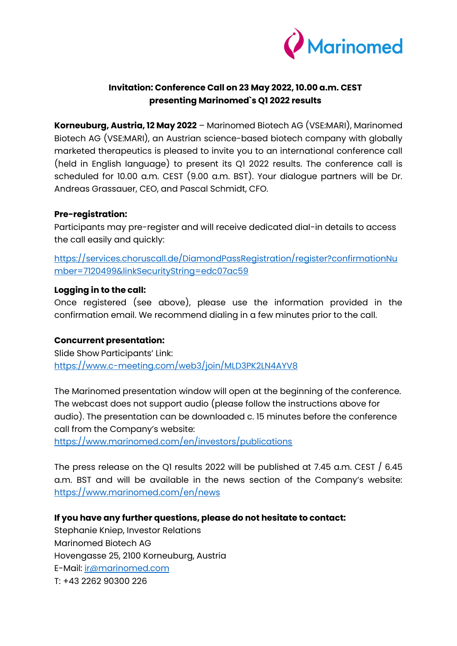

# **Invitation: Conference Call on 23 May 2022, 10.00 a.m. CEST presenting Marinomed`s Q1 2022 results**

**Korneuburg, Austria, 12 May 2022** – Marinomed Biotech AG (VSE:MARI), Marinomed Biotech AG (VSE:MARI), an Austrian science-based biotech company with globally marketed therapeutics is pleased to invite you to an international conference call (held in English language) to present its Q1 2022 results. The conference call is scheduled for 10.00 a.m. CEST (9.00 a.m. BST). Your dialogue partners will be Dr. Andreas Grassauer, CEO, and Pascal Schmidt, CFO.

### **Pre-registration:**

Participants may pre-register and will receive dedicated dial-in details to access the call easily and quickly:

[https://services.choruscall.de/DiamondPassRegistration/register?confirmationNu](https://services.choruscall.de/DiamondPassRegistration/register?confirmationNumber=7120499&linkSecurityString=edc07ac59) [mber=7120499&linkSecurityString=edc07ac59](https://services.choruscall.de/DiamondPassRegistration/register?confirmationNumber=7120499&linkSecurityString=edc07ac59)

## **Logging in to the call:**

Once registered (see above), please use the information provided in the confirmation email. We recommend dialing in a few minutes prior to the call.

### **Concurrent presentation:**

Slide Show Participants' Link: <https://www.c-meeting.com/web3/join/MLD3PK2LN4AYV8>

The Marinomed presentation window will open at the beginning of the conference. The webcast does not support audio (please follow the instructions above for audio). The presentation can be downloaded c. 15 minutes before the conference call from the Company's website:

<https://www.marinomed.com/en/investors/publications>

The press release on the Q1 results 2022 will be published at 7.45 a.m. CEST / 6.45 a.m. BST and will be available in the news section of the Company's website: <https://www.marinomed.com/en/news>

# **If you have any further questions, please do not hesitate to contact:**

Stephanie Kniep, Investor Relations Marinomed Biotech AG Hovengasse 25, 2100 Korneuburg, Austria E-Mail: [ir@marinomed.com](mailto:ir@marinomed.com) T: +43 2262 90300 226